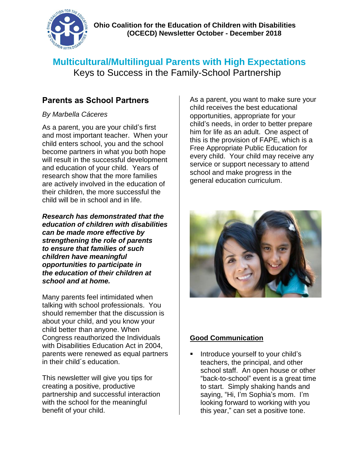

# **Multicultural/Multilingual Parents with High Expectations** Keys to Success in the Family-School Partnership

# **Parents as School Partners**

#### *By Marbella Cáceres*

As a parent, you are your child's first and most important teacher. When your child enters school, you and the school become partners in what you both hope will result in the successful development and education of your child. Years of research show that the more families are actively involved in the education of their children, the more successful the child will be in school and in life.

*Research has demonstrated that the education of children with disabilities can be made more effective by strengthening the role of parents to ensure that families of such children have meaningful opportunities to participate in the education of their children at school and at home.*

Many parents feel intimidated when talking with school professionals. You should remember that the discussion is about your child, and you know your child better than anyone. When Congress reauthorized the Individuals with Disabilities Education Act in 2004, parents were renewed as equal partners in their child´s education.

This newsletter will give you tips for creating a positive, productive partnership and successful interaction with the school for the meaningful benefit of your child.

As a parent, you want to make sure your child receives the best educational opportunities, appropriate for your child's needs, in order to better prepare him for life as an adult. One aspect of this is the provision of FAPE, which is a Free Appropriate Public Education for every child. Your child may receive any service or support necessary to attend school and make progress in the general education curriculum.



# **Good Communication**

 Introduce yourself to your child's teachers, the principal, and other school staff. An open house or other "back-to-school" event is a great time to start. Simply shaking hands and saying, "Hi, I'm Sophia's mom. I'm looking forward to working with you this year," can set a positive tone.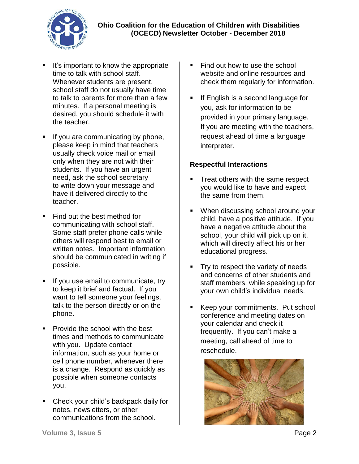**Ohio Coalition for the Education of Children with Disabilities (OCECD) Newsletter October - December 2018** 



- It's important to know the appropriate time to talk with school staff. Whenever students are present, school staff do not usually have time to talk to parents for more than a few minutes. If a personal meeting is desired, you should schedule it with the teacher.
- If you are communicating by phone, please keep in mind that teachers usually check voice mail or email only when they are not with their students. If you have an urgent need, ask the school secretary to write down your message and have it delivered directly to the teacher.
- Find out the best method for communicating with school staff. Some staff prefer phone calls while others will respond best to email or written notes. Important information should be communicated in writing if possible.
- If you use email to communicate, try to keep it brief and factual. If you want to tell someone your feelings, talk to the person directly or on the phone.
- Provide the school with the best times and methods to communicate with you. Update contact information, such as your home or cell phone number, whenever there is a change. Respond as quickly as possible when someone contacts you.
- Check your child's backpack daily for notes, newsletters, or other communications from the school.
- Find out how to use the school website and online resources and check them regularly for information.
- If English is a second language for you, ask for information to be provided in your primary language. If you are meeting with the teachers, request ahead of time a language interpreter.

#### **Respectful Interactions**

- Treat others with the same respect you would like to have and expect the same from them.
- When discussing school around your child, have a positive attitude. If you have a negative attitude about the school, your child will pick up on it, which will directly affect his or her educational progress.
- Try to respect the variety of needs and concerns of other students and staff members, while speaking up for your own child's individual needs.
- **Keep your commitments. Put school** conference and meeting dates on your calendar and check it frequently. If you can't make a meeting, call ahead of time to reschedule.

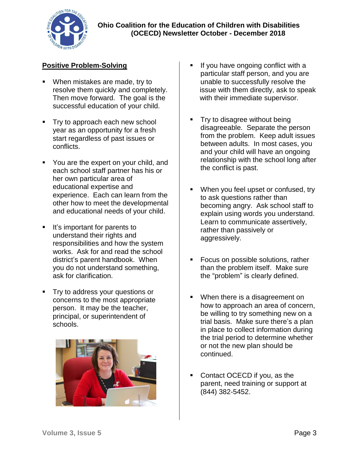

#### **Positive Problem-Solving**

- When mistakes are made, try to resolve them quickly and completely. Then move forward. The goal is the successful education of your child.
- Try to approach each new school year as an opportunity for a fresh start regardless of past issues or conflicts.
- You are the expert on your child, and each school staff partner has his or her own particular area of educational expertise and experience. Each can learn from the other how to meet the developmental and educational needs of your child.
- It's important for parents to understand their rights and responsibilities and how the system works. Ask for and read the school district's parent handbook. When you do not understand something, ask for clarification.
- **Try to address your questions or** concerns to the most appropriate person. It may be the teacher, principal, or superintendent of schools.



- If you have ongoing conflict with a particular staff person, and you are unable to successfully resolve the issue with them directly, ask to speak with their immediate supervisor.
- Try to disagree without being disagreeable. Separate the person from the problem. Keep adult issues between adults. In most cases, you and your child will have an ongoing relationship with the school long after the conflict is past.
- When you feel upset or confused, try to ask questions rather than becoming angry. Ask school staff to explain using words you understand. Learn to communicate assertively, rather than passively or aggressively.
- **Focus on possible solutions, rather** than the problem itself. Make sure the "problem" is clearly defined.
- When there is a disagreement on how to approach an area of concern, be willing to try something new on a trial basis. Make sure there's a plan in place to collect information during the trial period to determine whether or not the new plan should be continued.
- Contact OCECD if you, as the parent, need training or support at (844) 382-5452.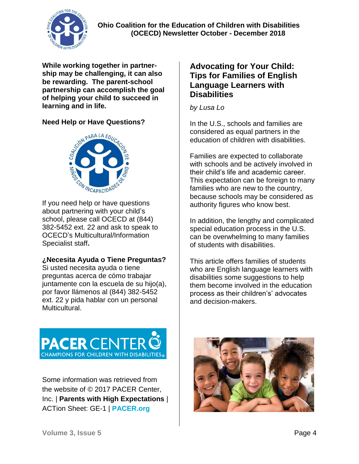

#### **Ohio Coalition for the Education of Children with Disabilities (OCECD) Newsletter October - December 2018**

**While working together in partnership may be challenging, it can also be rewarding. The parent-school partnership can accomplish the goal of helping your child to succeed in learning and in life.**

#### **Need Help or Have Questions?**



If you need help or have questions about partnering with your child's school, please call OCECD at (844) 382-5452 ext. 22 and ask to speak to OCECD's Multicultural/Information Specialist staff**.**

#### **¿Necesita Ayuda o Tiene Preguntas?**

Si usted necesita ayuda o tiene preguntas acerca de cómo trabajar juntamente con la escuela de su hijo(a), por favor llámenos al (844) 382-5452 ext. 22 y pida hablar con un personal Multicultural.

## **Advocating for Your Child: Tips for Families of English Language Learners with Disabilities**

*by Lusa Lo* 

In the U.S., schools and families are considered as equal partners in the education of children with disabilities.

Families are expected to collaborate with schools and be actively involved in their child's life and academic career. This expectation can be foreign to many families who are new to the country, because schools may be considered as authority figures who know best.

In addition, the lengthy and complicated special education process in the U.S. can be overwhelming to many families of students with disabilities.

This article offers families of students who are English language learners with disabilities some suggestions to help them become involved in the education process as their children's' advocates and decision-makers.



Some information was retrieved from the website of © 2017 PACER Center, Inc. | **Parents with High Expectations** | ACTion Sheet: GE-1 | **PACER.org**

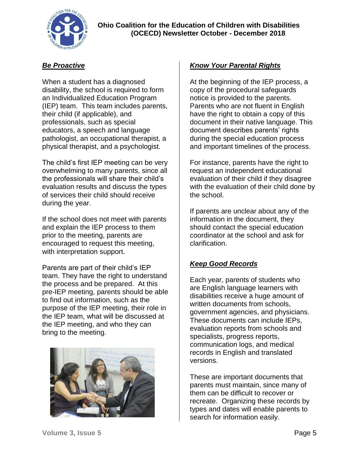

#### *Be Proactive*

When a student has a diagnosed disability, the school is required to form an Individualized Education Program (IEP) team. This team includes parents, their child (if applicable), and professionals, such as special educators, a speech and language pathologist, an occupational therapist, a physical therapist, and a psychologist.

The child's first IEP meeting can be very overwhelming to many parents, since all the professionals will share their child's evaluation results and discuss the types of services their child should receive during the year.

If the school does not meet with parents and explain the IEP process to them prior to the meeting, parents are encouraged to request this meeting, with interpretation support.

Parents are part of their child's IEP team. They have the right to understand the process and be prepared. At this pre-IEP meeting, parents should be able to find out information, such as the purpose of the IEP meeting, their role in the IEP team, what will be discussed at the IEP meeting, and who they can bring to the meeting.



#### *Know Your Parental Rights*

At the beginning of the IEP process, a copy of the procedural safeguards notice is provided to the parents. Parents who are not fluent in English have the right to obtain a copy of this document in their native language. This document describes parents' rights during the special education process and important timelines of the process.

For instance, parents have the right to request an independent educational evaluation of their child if they disagree with the evaluation of their child done by the school.

If parents are unclear about any of the information in the document, they should contact the special education coordinator at the school and ask for clarification.

#### *Keep Good Records*

Each year, parents of students who are English language learners with disabilities receive a huge amount of written documents from schools, government agencies, and physicians. These documents can include IEPs, evaluation reports from schools and specialists, progress reports, communication logs, and medical records in English and translated versions.

These are important documents that parents must maintain, since many of them can be difficult to recover or recreate. Organizing these records by types and dates will enable parents to search for information easily.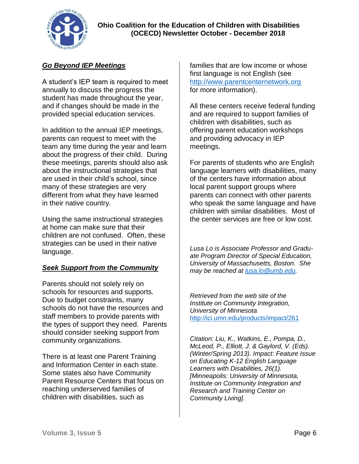

## *Go Beyond IEP Meetings*

A student's IEP team is required to meet annually to discuss the progress the student has made throughout the year, and if changes should be made in the provided special education services.

In addition to the annual IEP meetings, parents can request to meet with the team any time during the year and learn about the progress of their child. During these meetings, parents should also ask about the instructional strategies that are used in their child's school, since many of these strategies are very different from what they have learned in their native country.

Using the same instructional strategies at home can make sure that their children are not confused. Often, these strategies can be used in their native language.

#### *Seek Support from the Community*

Parents should not solely rely on schools for resources and supports. Due to budget constraints, many schools do not have the resources and staff members to provide parents with the types of support they need. Parents should consider seeking support from community organizations.

There is at least one Parent Training and Information Center in each state. Some states also have Community Parent Resource Centers that focus on reaching underserved families of children with disabilities, such as

families that are low income or whose first language is not English (see [http://www.parentcenternetwork.org](http://www.parentcenternetwork.org/) for more information).

All these centers receive federal funding and are required to support families of children with disabilities, such as offering parent education workshops and providing advocacy in IEP meetings.

For parents of students who are English language learners with disabilities, many of the centers have information about local parent support groups where parents can connect with other parents who speak the same language and have children with similar disabilities. Most of the center services are free or low cost.

*Lusa Lo is Associate Professor and Graduate Program Director of Special Education, University of Massachusetts, Boston. She may be reached at [lusa.lo@umb.edu.](mailto:lusa.lo@umb.edu)*

*Retrieved from the web site of the Institute on Community Integration, University of Minnesota*  <http://ici.umn.edu/products/impact/261>

*Citation: Liu, K., Watkins, E., Pompa, D., McLeod, P., Elliott, J. & Gaylord, V. (Eds). (Winter/Spring 2013). Impact: Feature Issue on Educating K-12 English Language Learners with Disabilities, 26(1). [Minneapolis: University of Minnesota, Institute on Community Integration and Research and Training Center on Community Living].*